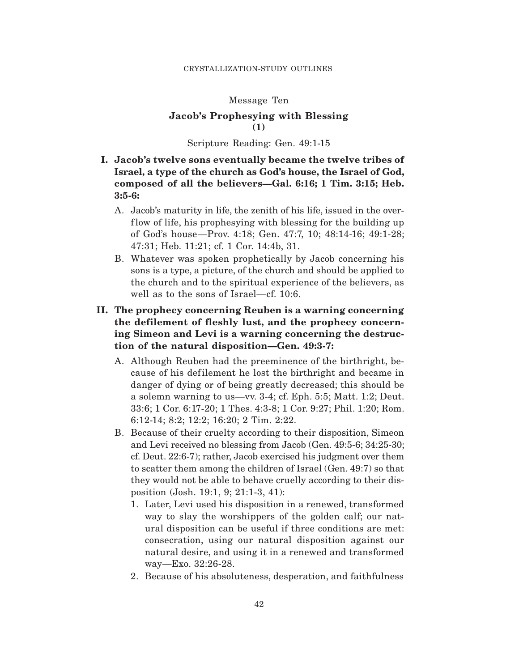## Message Ten

# **Jacob's Prophesying with Blessing (1)**

#### Scripture Reading: Gen. 49:1-15

- **I. Jacob's twelve sons eventually became the twelve tribes of Israel, a type of the church as God's house, the Israel of God, composed of all the believers—Gal. 6:16; 1 Tim. 3:15; Heb. 3:5-6:**
	- A. Jacob's maturity in life, the zenith of his life, issued in the overflow of life, his prophesying with blessing for the building up of God's house—Prov. 4:18; Gen. 47:7, 10; 48:14-16; 49:1-28; 47:31; Heb. 11:21; cf. 1 Cor. 14:4b, 31.
	- B. Whatever was spoken prophetically by Jacob concerning his sons is a type, a picture, of the church and should be applied to the church and to the spiritual experience of the believers, as well as to the sons of Israel—cf. 10:6.
- **II. The prophecy concerning Reuben is a warning concerning the defilement of fleshly lust, and the prophecy concerning Simeon and Levi is a warning concerning the destruction of the natural disposition—Gen. 49:3-7:**
	- A. Although Reuben had the preeminence of the birthright, because of his def ilement he lost the birthright and became in danger of dying or of being greatly decreased; this should be a solemn warning to us—vv. 3-4; cf. Eph. 5:5; Matt. 1:2; Deut. 33:6; 1 Cor. 6:17-20; 1 Thes. 4:3-8; 1 Cor. 9:27; Phil. 1:20; Rom. 6:12-14; 8:2; 12:2; 16:20; 2 Tim. 2:22.
	- B. Because of their cruelty according to their disposition, Simeon and Levi received no blessing from Jacob (Gen. 49:5-6; 34:25-30; cf. Deut. 22:6-7); rather, Jacob exercised his judgment over them to scatter them among the children of Israel (Gen. 49:7) so that they would not be able to behave cruelly according to their disposition (Josh. 19:1, 9; 21:1-3, 41):
		- 1. Later, Levi used his disposition in a renewed, transformed way to slay the worshippers of the golden calf; our natural disposition can be useful if three conditions are met: consecration, using our natural disposition against our natural desire, and using it in a renewed and transformed way—Exo. 32:26-28.
		- 2. Because of his absoluteness, desperation, and faithfulness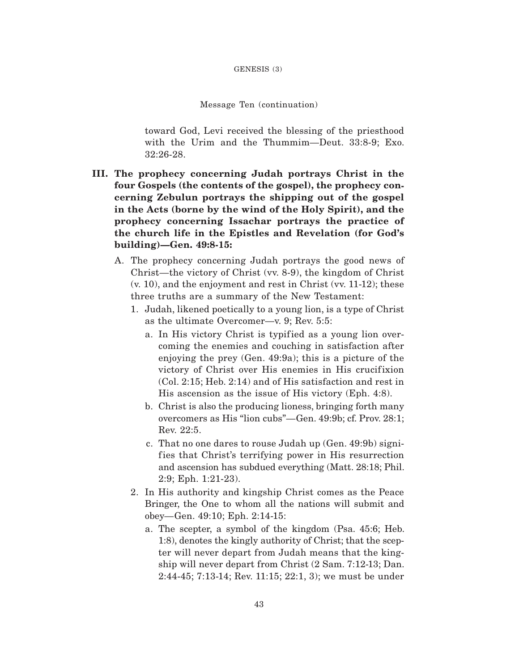Message Ten (continuation)

toward God, Levi received the blessing of the priesthood with the Urim and the Thummim—Deut. 33:8-9; Exo. 32:26-28.

- **III. The prophecy concerning Judah portrays Christ in the four Gospels (the contents of the gospel), the prophecy concerning Zebulun portrays the shipping out of the gospel in the Acts (borne by the wind of the Holy Spirit), and the prophecy concerning Issachar portrays the practice of the church life in the Epistles and Revelation (for God's building)—Gen. 49:8-15:**
	- A. The prophecy concerning Judah portrays the good news of Christ—the victory of Christ (vv. 8-9), the kingdom of Christ (v. 10), and the enjoyment and rest in Christ (vv. 11-12); these three truths are a summary of the New Testament:
		- 1. Judah, likened poetically to a young lion, is a type of Christ as the ultimate Overcomer—v. 9; Rev. 5:5:
			- a. In His victory Christ is typified as a young lion overcoming the enemies and couching in satisfaction after enjoying the prey (Gen. 49:9a); this is a picture of the victory of Christ over His enemies in His crucifixion (Col. 2:15; Heb. 2:14) and of His satisfaction and rest in His ascension as the issue of His victory (Eph. 4:8).
			- b. Christ is also the producing lioness, bringing forth many overcomers as His "lion cubs"—Gen. 49:9b; cf. Prov. 28:1; Rev. 22:5.
			- c. That no one dares to rouse Judah up (Gen. 49:9b) signifies that Christ's terrifying power in His resurrection and ascension has subdued everything (Matt. 28:18; Phil. 2:9; Eph. 1:21-23).
		- 2. In His authority and kingship Christ comes as the Peace Bringer, the One to whom all the nations will submit and obey—Gen. 49:10; Eph. 2:14-15:
			- a. The scepter, a symbol of the kingdom (Psa. 45:6; Heb. 1:8), denotes the kingly authority of Christ; that the scepter will never depart from Judah means that the kingship will never depart from Christ (2 Sam. 7:12-13; Dan. 2:44-45; 7:13-14; Rev. 11:15; 22:1, 3); we must be under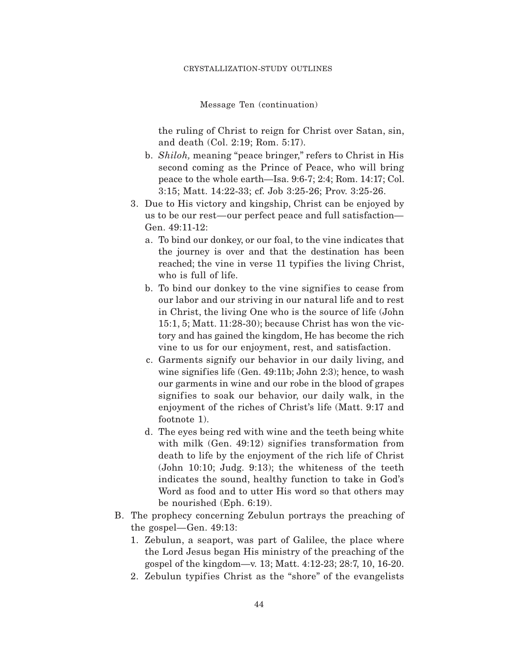Message Ten (continuation)

the ruling of Christ to reign for Christ over Satan, sin, and death (Col. 2:19; Rom. 5:17).

- b. *Shiloh,* meaning "peace bringer," refers to Christ in His second coming as the Prince of Peace, who will bring peace to the whole earth—Isa. 9:6-7; 2:4; Rom. 14:17; Col. 3:15; Matt. 14:22-33; cf. Job 3:25-26; Prov. 3:25-26.
- 3. Due to His victory and kingship, Christ can be enjoyed by us to be our rest—our perfect peace and full satisfaction— Gen. 49:11-12:
	- a. To bind our donkey, or our foal, to the vine indicates that the journey is over and that the destination has been reached; the vine in verse 11 typifies the living Christ, who is full of life.
	- b. To bind our donkey to the vine signifies to cease from our labor and our striving in our natural life and to rest in Christ, the living One who is the source of life (John 15:1, 5; Matt. 11:28-30); because Christ has won the victory and has gained the kingdom, He has become the rich vine to us for our enjoyment, rest, and satisfaction.
	- c. Garments signify our behavior in our daily living, and wine signifies life (Gen. 49:11b; John 2:3); hence, to wash our garments in wine and our robe in the blood of grapes signifies to soak our behavior, our daily walk, in the enjoyment of the riches of Christ's life (Matt. 9:17 and footnote 1).
	- d. The eyes being red with wine and the teeth being white with milk  $(Gen. 49:12)$  signifies transformation from death to life by the enjoyment of the rich life of Christ (John 10:10; Judg. 9:13); the whiteness of the teeth indicates the sound, healthy function to take in God's Word as food and to utter His word so that others may be nourished (Eph. 6:19).
- B. The prophecy concerning Zebulun portrays the preaching of the gospel—Gen. 49:13:
	- 1. Zebulun, a seaport, was part of Galilee, the place where the Lord Jesus began His ministry of the preaching of the gospel of the kingdom—v. 13; Matt. 4:12-23; 28:7, 10, 16-20.
	- 2. Zebulun typifies Christ as the "shore" of the evangelists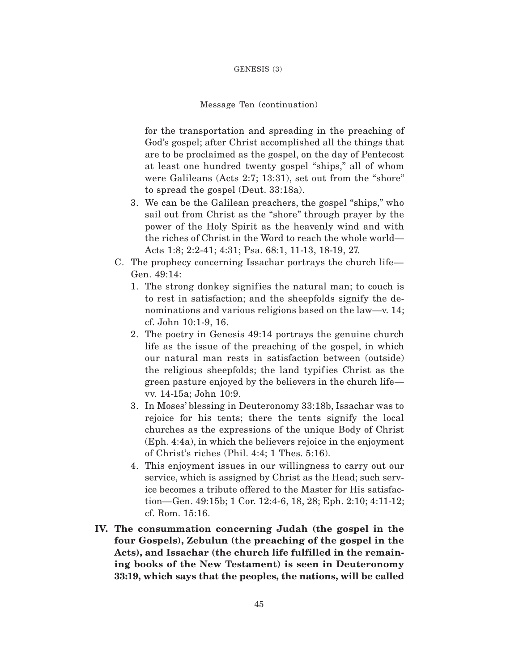#### GENESIS (3)

### Message Ten (continuation)

for the transportation and spreading in the preaching of God's gospel; after Christ accomplished all the things that are to be proclaimed as the gospel, on the day of Pentecost at least one hundred twenty gospel "ships," all of whom were Galileans (Acts 2:7; 13:31), set out from the "shore" to spread the gospel (Deut. 33:18a).

- 3. We can be the Galilean preachers, the gospel "ships," who sail out from Christ as the "shore" through prayer by the power of the Holy Spirit as the heavenly wind and with the riches of Christ in the Word to reach the whole world— Acts 1:8; 2:2-41; 4:31; Psa. 68:1, 11-13, 18-19, 27.
- C. The prophecy concerning Issachar portrays the church life— Gen. 49:14:
	- 1. The strong donkey signifies the natural man; to couch is to rest in satisfaction; and the sheepfolds signify the denominations and various religions based on the law—v. 14; cf. John 10:1-9, 16.
	- 2. The poetry in Genesis 49:14 portrays the genuine church life as the issue of the preaching of the gospel, in which our natural man rests in satisfaction between (outside) the religious sheepfolds; the land typifies Christ as the green pasture enjoyed by the believers in the church life vv. 14-15a; John 10:9.
	- 3. In Moses' blessing in Deuteronomy 33:18b, Issachar was to rejoice for his tents; there the tents signify the local churches as the expressions of the unique Body of Christ (Eph. 4:4a), in which the believers rejoice in the enjoyment of Christ's riches (Phil. 4:4; 1 Thes. 5:16).
	- 4. This enjoyment issues in our willingness to carry out our service, which is assigned by Christ as the Head; such service becomes a tribute offered to the Master for His satisfaction—Gen. 49:15b; 1 Cor. 12:4-6, 18, 28; Eph. 2:10; 4:11-12; cf. Rom. 15:16.
- **IV. The consummation concerning Judah (the gospel in the four Gospels), Zebulun (the preaching of the gospel in the Acts), and Issachar (the church life fulfilled in the remaining books of the New Testament) is seen in Deuteronomy 33:19, which says that the peoples, the nations, will be called**